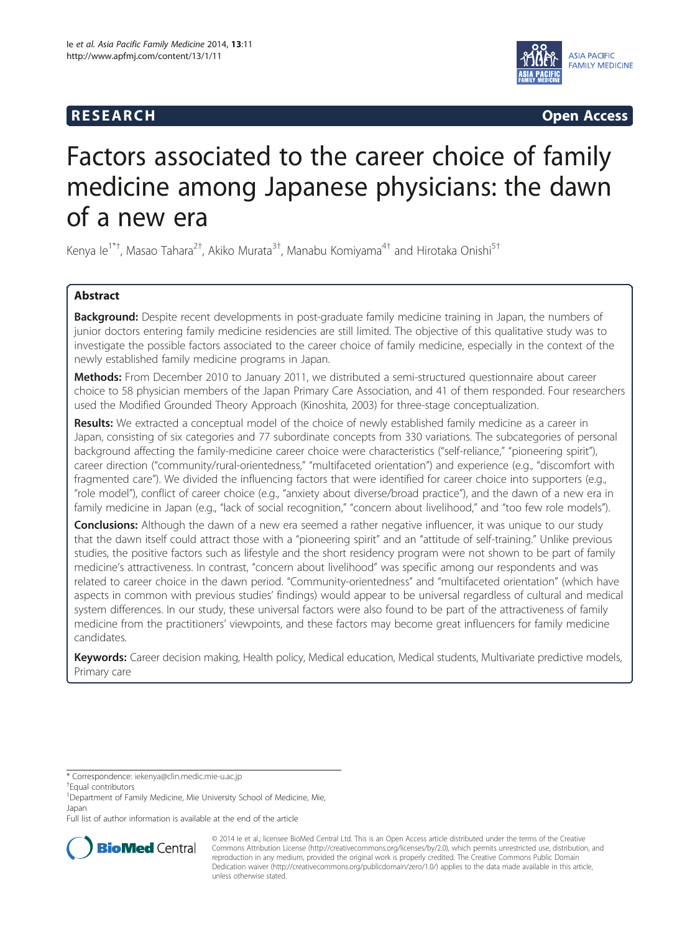# **RESEARCH CHINESEARCH CHINESEARCH CHINESE**



# Factors associated to the career choice of family medicine among Japanese physicians: the dawn of a new era

Kenya le<sup>1\*†</sup>, Masao Tahara<sup>2†</sup>, Akiko Murata<sup>3†</sup>, Manabu Komiyama<sup>4†</sup> and Hirotaka Onishi<sup>5†</sup>

# Abstract

Background: Despite recent developments in post-graduate family medicine training in Japan, the numbers of junior doctors entering family medicine residencies are still limited. The objective of this qualitative study was to investigate the possible factors associated to the career choice of family medicine, especially in the context of the newly established family medicine programs in Japan.

Methods: From December 2010 to January 2011, we distributed a semi-structured questionnaire about career choice to 58 physician members of the Japan Primary Care Association, and 41 of them responded. Four researchers used the Modified Grounded Theory Approach (Kinoshita, 2003) for three-stage conceptualization.

Results: We extracted a conceptual model of the choice of newly established family medicine as a career in Japan, consisting of six categories and 77 subordinate concepts from 330 variations. The subcategories of personal background affecting the family-medicine career choice were characteristics ("self-reliance," "pioneering spirit"), career direction ("community/rural-orientedness," "multifaceted orientation") and experience (e.g., "discomfort with fragmented care"). We divided the influencing factors that were identified for career choice into supporters (e.g., "role model"), conflict of career choice (e.g., "anxiety about diverse/broad practice"), and the dawn of a new era in family medicine in Japan (e.g., "lack of social recognition," "concern about livelihood," and "too few role models").

**Conclusions:** Although the dawn of a new era seemed a rather negative influencer, it was unique to our study that the dawn itself could attract those with a "pioneering spirit" and an "attitude of self-training." Unlike previous studies, the positive factors such as lifestyle and the short residency program were not shown to be part of family medicine's attractiveness. In contrast, "concern about livelihood" was specific among our respondents and was related to career choice in the dawn period. "Community-orientedness" and "multifaceted orientation" (which have aspects in common with previous studies' findings) would appear to be universal regardless of cultural and medical system differences. In our study, these universal factors were also found to be part of the attractiveness of family medicine from the practitioners' viewpoints, and these factors may become great influencers for family medicine candidates.

Keywords: Career decision making, Health policy, Medical education, Medical students, Multivariate predictive models, Primary care

\* Correspondence: [iekenya@clin.medic.mie-u.ac.jp](mailto:iekenya@clin.medic.mie-u.ac.jp) †

Equal contributors

Full list of author information is available at the end of the article



© 2014 Ie et al.; licensee BioMed Central Ltd. This is an Open Access article distributed under the terms of the Creative Commons Attribution License [\(http://creativecommons.org/licenses/by/2.0\)](http://creativecommons.org/licenses/by/2.0), which permits unrestricted use, distribution, and reproduction in any medium, provided the original work is properly credited. The Creative Commons Public Domain Dedication waiver [\(http://creativecommons.org/publicdomain/zero/1.0/](http://creativecommons.org/publicdomain/zero/1.0/)) applies to the data made available in this article, unless otherwise stated.

<sup>&</sup>lt;sup>1</sup>Department of Family Medicine, Mie University School of Medicine, Mie, Japan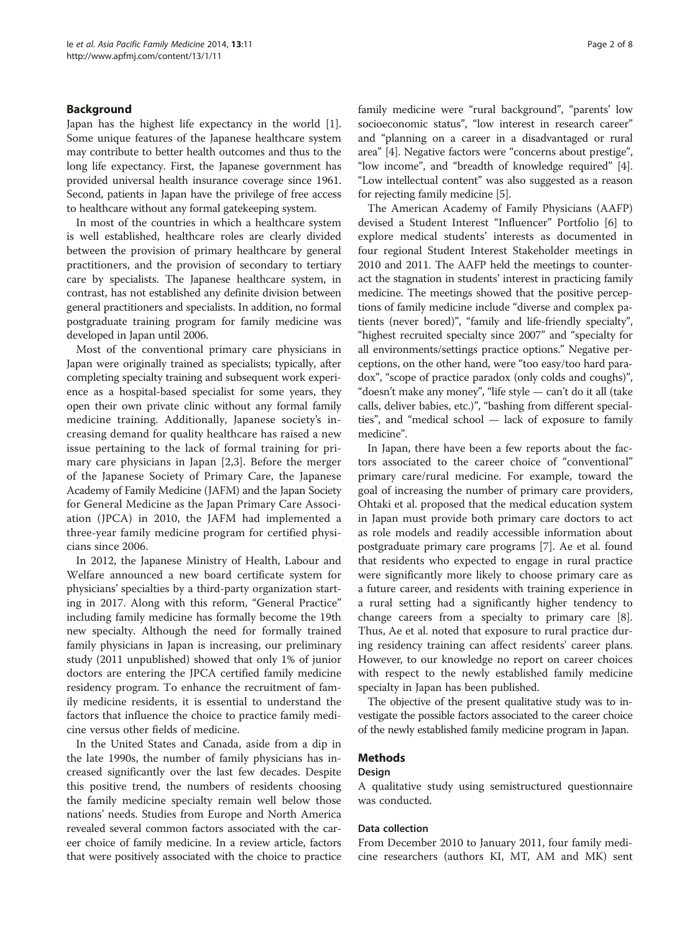## Background

Japan has the highest life expectancy in the world [\[1](#page-6-0)]. Some unique features of the Japanese healthcare system may contribute to better health outcomes and thus to the long life expectancy. First, the Japanese government has provided universal health insurance coverage since 1961. Second, patients in Japan have the privilege of free access to healthcare without any formal gatekeeping system.

In most of the countries in which a healthcare system is well established, healthcare roles are clearly divided between the provision of primary healthcare by general practitioners, and the provision of secondary to tertiary care by specialists. The Japanese healthcare system, in contrast, has not established any definite division between general practitioners and specialists. In addition, no formal postgraduate training program for family medicine was developed in Japan until 2006.

Most of the conventional primary care physicians in Japan were originally trained as specialists; typically, after completing specialty training and subsequent work experience as a hospital-based specialist for some years, they open their own private clinic without any formal family medicine training. Additionally, Japanese society's increasing demand for quality healthcare has raised a new issue pertaining to the lack of formal training for primary care physicians in Japan [[2,3\]](#page-6-0). Before the merger of the Japanese Society of Primary Care, the Japanese Academy of Family Medicine (JAFM) and the Japan Society for General Medicine as the Japan Primary Care Association (JPCA) in 2010, the JAFM had implemented a three-year family medicine program for certified physicians since 2006.

In 2012, the Japanese Ministry of Health, Labour and Welfare announced a new board certificate system for physicians' specialties by a third-party organization starting in 2017. Along with this reform, "General Practice" including family medicine has formally become the 19th new specialty. Although the need for formally trained family physicians in Japan is increasing, our preliminary study (2011 unpublished) showed that only 1% of junior doctors are entering the JPCA certified family medicine residency program. To enhance the recruitment of family medicine residents, it is essential to understand the factors that influence the choice to practice family medicine versus other fields of medicine.

In the United States and Canada, aside from a dip in the late 1990s, the number of family physicians has increased significantly over the last few decades. Despite this positive trend, the numbers of residents choosing the family medicine specialty remain well below those nations' needs. Studies from Europe and North America revealed several common factors associated with the career choice of family medicine. In a review article, factors that were positively associated with the choice to practice family medicine were "rural background", "parents' low socioeconomic status", "low interest in research career" and "planning on a career in a disadvantaged or rural area" [[4\]](#page-6-0). Negative factors were "concerns about prestige", "low income", and "breadth of knowledge required" [[4](#page-6-0)]. "Low intellectual content" was also suggested as a reason for rejecting family medicine [\[5](#page-6-0)].

The American Academy of Family Physicians (AAFP) devised a Student Interest "Influencer" Portfolio [[6\]](#page-6-0) to explore medical students' interests as documented in four regional Student Interest Stakeholder meetings in 2010 and 2011. The AAFP held the meetings to counteract the stagnation in students' interest in practicing family medicine. The meetings showed that the positive perceptions of family medicine include "diverse and complex patients (never bored)", "family and life-friendly specialty", "highest recruited specialty since 2007" and "specialty for all environments/settings practice options." Negative perceptions, on the other hand, were "too easy/too hard paradox", "scope of practice paradox (only colds and coughs)", "doesn't make any money", "life style — can't do it all (take calls, deliver babies, etc.)", "bashing from different specialties", and "medical school — lack of exposure to family medicine".

In Japan, there have been a few reports about the factors associated to the career choice of "conventional" primary care/rural medicine. For example, toward the goal of increasing the number of primary care providers, Ohtaki et al. proposed that the medical education system in Japan must provide both primary care doctors to act as role models and readily accessible information about postgraduate primary care programs [\[7](#page-6-0)]. Ae et al. found that residents who expected to engage in rural practice were significantly more likely to choose primary care as a future career, and residents with training experience in a rural setting had a significantly higher tendency to change careers from a specialty to primary care [\[8](#page-6-0)]. Thus, Ae et al. noted that exposure to rural practice during residency training can affect residents' career plans. However, to our knowledge no report on career choices with respect to the newly established family medicine specialty in Japan has been published.

The objective of the present qualitative study was to investigate the possible factors associated to the career choice of the newly established family medicine program in Japan.

# Methods

#### Design

A qualitative study using semistructured questionnaire was conducted.

#### Data collection

From December 2010 to January 2011, four family medicine researchers (authors KI, MT, AM and MK) sent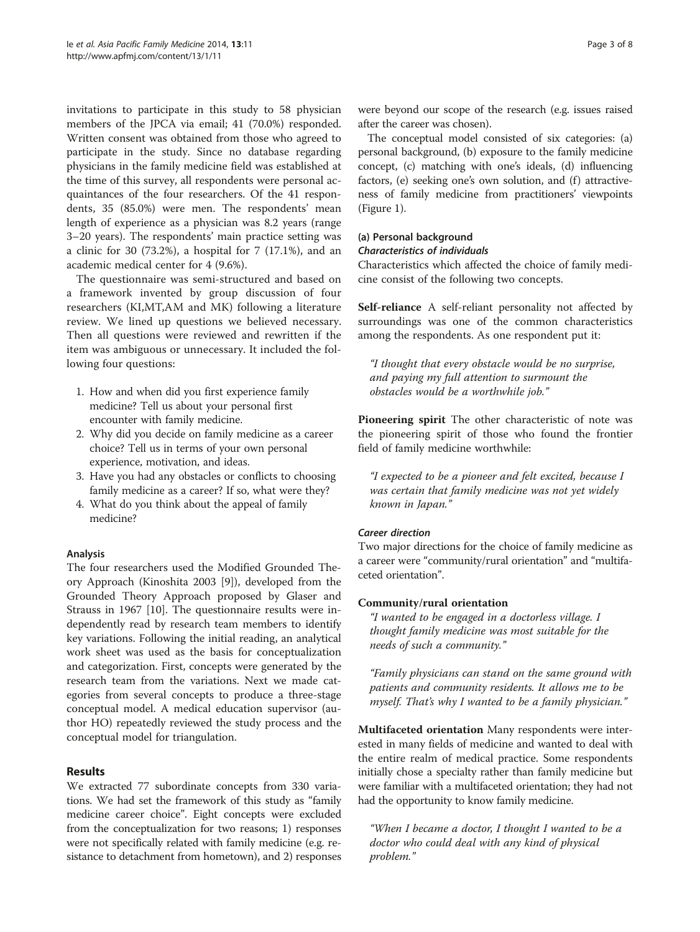invitations to participate in this study to 58 physician members of the JPCA via email; 41 (70.0%) responded. Written consent was obtained from those who agreed to participate in the study. Since no database regarding physicians in the family medicine field was established at the time of this survey, all respondents were personal acquaintances of the four researchers. Of the 41 respondents, 35 (85.0%) were men. The respondents' mean length of experience as a physician was 8.2 years (range 3–20 years). The respondents' main practice setting was a clinic for 30 (73.2%), a hospital for 7 (17.1%), and an academic medical center for 4 (9.6%).

The questionnaire was semi-structured and based on a framework invented by group discussion of four researchers (KI,MT,AM and MK) following a literature review. We lined up questions we believed necessary. Then all questions were reviewed and rewritten if the item was ambiguous or unnecessary. It included the following four questions:

- 1. How and when did you first experience family medicine? Tell us about your personal first encounter with family medicine.
- 2. Why did you decide on family medicine as a career choice? Tell us in terms of your own personal experience, motivation, and ideas.
- 3. Have you had any obstacles or conflicts to choosing family medicine as a career? If so, what were they?
- 4. What do you think about the appeal of family medicine?

# Analysis

The four researchers used the Modified Grounded Theory Approach (Kinoshita 2003 [\[9](#page-6-0)]), developed from the Grounded Theory Approach proposed by Glaser and Strauss in 1967 [[10\]](#page-6-0). The questionnaire results were independently read by research team members to identify key variations. Following the initial reading, an analytical work sheet was used as the basis for conceptualization and categorization. First, concepts were generated by the research team from the variations. Next we made categories from several concepts to produce a three-stage conceptual model. A medical education supervisor (author HO) repeatedly reviewed the study process and the conceptual model for triangulation.

# Results

We extracted 77 subordinate concepts from 330 variations. We had set the framework of this study as "family medicine career choice". Eight concepts were excluded from the conceptualization for two reasons; 1) responses were not specifically related with family medicine (e.g. resistance to detachment from hometown), and 2) responses were beyond our scope of the research (e.g. issues raised after the career was chosen).

The conceptual model consisted of six categories: (a) personal background, (b) exposure to the family medicine concept, (c) matching with one's ideals, (d) influencing factors, (e) seeking one's own solution, and (f) attractiveness of family medicine from practitioners' viewpoints (Figure [1](#page-3-0)).

# (a) Personal background

# Characteristics of individuals

Characteristics which affected the choice of family medicine consist of the following two concepts.

Self-reliance A self-reliant personality not affected by surroundings was one of the common characteristics among the respondents. As one respondent put it:

"I thought that every obstacle would be no surprise, and paying my full attention to surmount the obstacles would be a worthwhile job."

Pioneering spirit The other characteristic of note was the pioneering spirit of those who found the frontier field of family medicine worthwhile:

"I expected to be a pioneer and felt excited, because I was certain that family medicine was not yet widely known in Japan."

### Career direction

Two major directions for the choice of family medicine as a career were "community/rural orientation" and "multifaceted orientation".

#### Community/rural orientation

"I wanted to be engaged in a doctorless village. I thought family medicine was most suitable for the needs of such a community."

"Family physicians can stand on the same ground with patients and community residents. It allows me to be myself. That's why I wanted to be a family physician."

Multifaceted orientation Many respondents were interested in many fields of medicine and wanted to deal with the entire realm of medical practice. Some respondents initially chose a specialty rather than family medicine but were familiar with a multifaceted orientation; they had not had the opportunity to know family medicine.

"When I became a doctor, I thought I wanted to be a doctor who could deal with any kind of physical problem."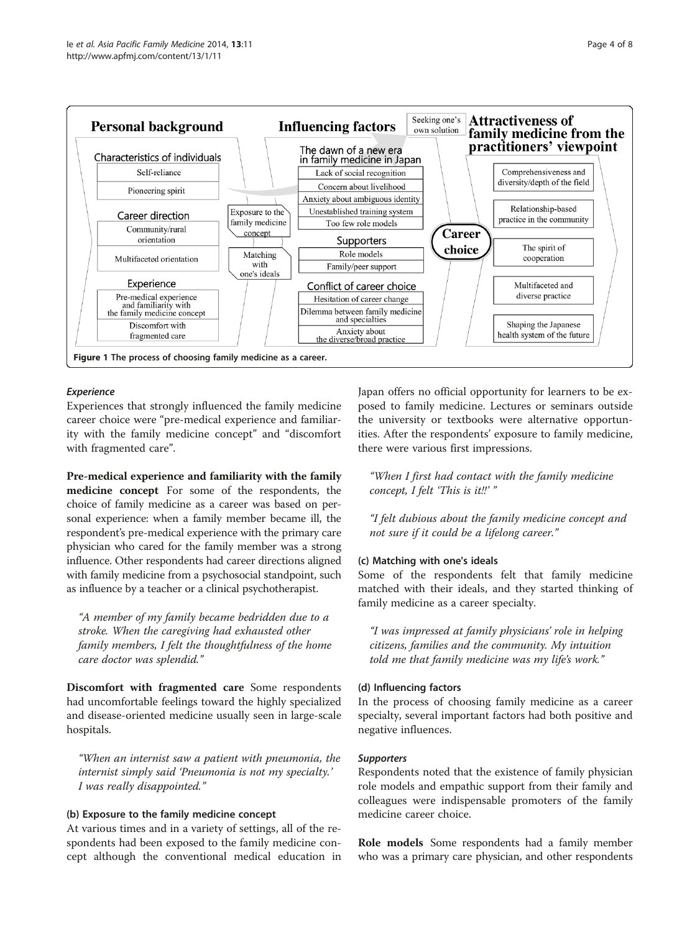<span id="page-3-0"></span>

# Experience

Experiences that strongly influenced the family medicine career choice were "pre-medical experience and familiarity with the family medicine concept" and "discomfort with fragmented care".

Pre-medical experience and familiarity with the family medicine concept For some of the respondents, the choice of family medicine as a career was based on personal experience: when a family member became ill, the respondent's pre-medical experience with the primary care physician who cared for the family member was a strong influence. Other respondents had career directions aligned with family medicine from a psychosocial standpoint, such as influence by a teacher or a clinical psychotherapist.

"A member of my family became bedridden due to a stroke. When the caregiving had exhausted other family members, I felt the thoughtfulness of the home care doctor was splendid."

Discomfort with fragmented care Some respondents had uncomfortable feelings toward the highly specialized and disease-oriented medicine usually seen in large-scale hospitals.

"When an internist saw a patient with pneumonia, the internist simply said 'Pneumonia is not my specialty.' I was really disappointed."

# (b) Exposure to the family medicine concept

At various times and in a variety of settings, all of the respondents had been exposed to the family medicine concept although the conventional medical education in Japan offers no official opportunity for learners to be exposed to family medicine. Lectures or seminars outside the university or textbooks were alternative opportunities. After the respondents' exposure to family medicine, there were various first impressions.

"When I first had contact with the family medicine concept, I felt 'This is it!!'"

"I felt dubious about the family medicine concept and not sure if it could be a lifelong career."

### (c) Matching with one's ideals

Some of the respondents felt that family medicine matched with their ideals, and they started thinking of family medicine as a career specialty.

"I was impressed at family physicians' role in helping citizens, families and the community. My intuition told me that family medicine was my life's work."

#### (d) Influencing factors

In the process of choosing family medicine as a career specialty, several important factors had both positive and negative influences.

# Supporters

Respondents noted that the existence of family physician role models and empathic support from their family and colleagues were indispensable promoters of the family medicine career choice.

Role models Some respondents had a family member who was a primary care physician, and other respondents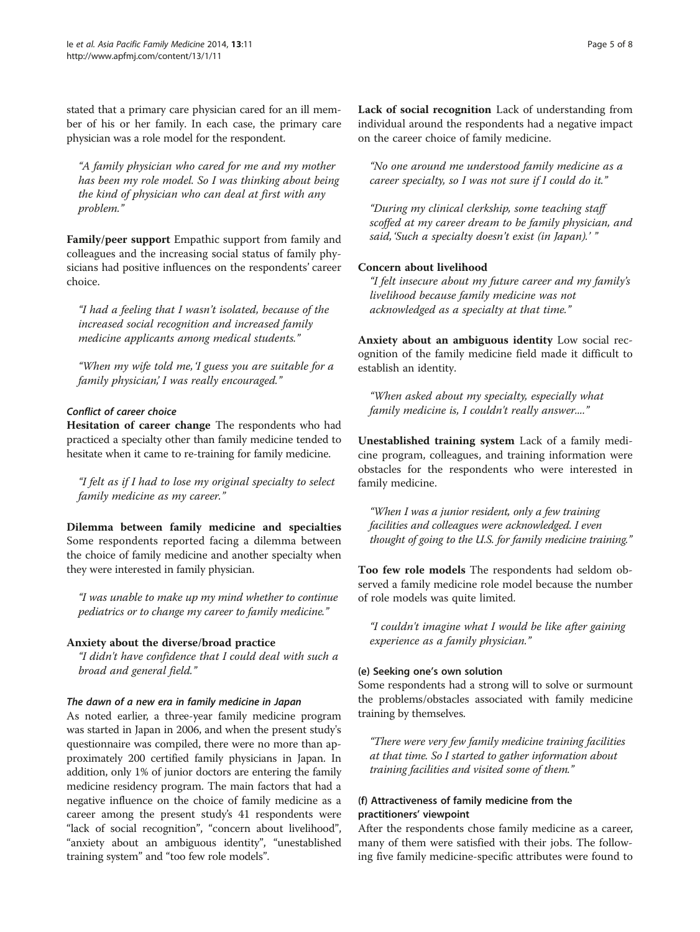stated that a primary care physician cared for an ill member of his or her family. In each case, the primary care physician was a role model for the respondent.

"A family physician who cared for me and my mother has been my role model. So I was thinking about being the kind of physician who can deal at first with any problem."

Family/peer support Empathic support from family and colleagues and the increasing social status of family physicians had positive influences on the respondents' career choice.

"I had a feeling that I wasn't isolated, because of the increased social recognition and increased family medicine applicants among medical students."

"When my wife told me, 'I guess you are suitable for a family physician,' I was really encouraged."

# Conflict of career choice

Hesitation of career change The respondents who had practiced a specialty other than family medicine tended to hesitate when it came to re-training for family medicine.

"I felt as if I had to lose my original specialty to select family medicine as my career."

Dilemma between family medicine and specialties Some respondents reported facing a dilemma between the choice of family medicine and another specialty when they were interested in family physician.

"I was unable to make up my mind whether to continue pediatrics or to change my career to family medicine."

#### Anxiety about the diverse/broad practice

"I didn't have confidence that I could deal with such a broad and general field."

# The dawn of a new era in family medicine in Japan

As noted earlier, a three-year family medicine program was started in Japan in 2006, and when the present study's questionnaire was compiled, there were no more than approximately 200 certified family physicians in Japan. In addition, only 1% of junior doctors are entering the family medicine residency program. The main factors that had a negative influence on the choice of family medicine as a career among the present study's 41 respondents were "lack of social recognition", "concern about livelihood", "anxiety about an ambiguous identity", "unestablished training system" and "too few role models".

Lack of social recognition Lack of understanding from individual around the respondents had a negative impact on the career choice of family medicine.

"No one around me understood family medicine as a career specialty, so I was not sure if I could do it."

"During my clinical clerkship, some teaching staff scoffed at my career dream to be family physician, and said, 'Such a specialty doesn't exist (in Japan).' "

# Concern about livelihood

"I felt insecure about my future career and my family's livelihood because family medicine was not acknowledged as a specialty at that time."

Anxiety about an ambiguous identity Low social recognition of the family medicine field made it difficult to establish an identity.

"When asked about my specialty, especially what family medicine is, I couldn't really answer...."

Unestablished training system Lack of a family medicine program, colleagues, and training information were obstacles for the respondents who were interested in family medicine.

"When I was a junior resident, only a few training facilities and colleagues were acknowledged. I even thought of going to the U.S. for family medicine training."

Too few role models The respondents had seldom observed a family medicine role model because the number of role models was quite limited.

"I couldn't imagine what I would be like after gaining experience as a family physician."

#### (e) Seeking one's own solution

Some respondents had a strong will to solve or surmount the problems/obstacles associated with family medicine training by themselves.

"There were very few family medicine training facilities at that time. So I started to gather information about training facilities and visited some of them."

# (f) Attractiveness of family medicine from the practitioners' viewpoint

After the respondents chose family medicine as a career, many of them were satisfied with their jobs. The following five family medicine-specific attributes were found to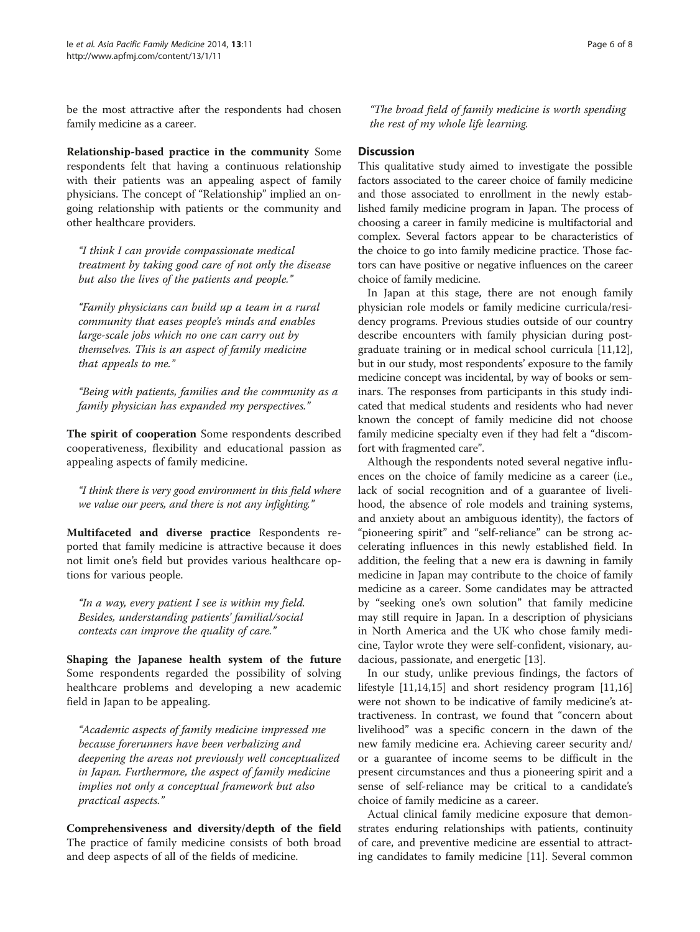be the most attractive after the respondents had chosen family medicine as a career.

Relationship-based practice in the community Some respondents felt that having a continuous relationship with their patients was an appealing aspect of family physicians. The concept of "Relationship" implied an ongoing relationship with patients or the community and other healthcare providers.

"I think I can provide compassionate medical treatment by taking good care of not only the disease but also the lives of the patients and people."

"Family physicians can build up a team in a rural community that eases people's minds and enables large-scale jobs which no one can carry out by themselves. This is an aspect of family medicine that appeals to me."

"Being with patients, families and the community as a family physician has expanded my perspectives."

The spirit of cooperation Some respondents described cooperativeness, flexibility and educational passion as appealing aspects of family medicine.

"I think there is very good environment in this field where we value our peers, and there is not any infighting."

Multifaceted and diverse practice Respondents reported that family medicine is attractive because it does not limit one's field but provides various healthcare options for various people.

"In a way, every patient I see is within my field. Besides, understanding patients' familial/social contexts can improve the quality of care."

Shaping the Japanese health system of the future Some respondents regarded the possibility of solving healthcare problems and developing a new academic field in Japan to be appealing.

"Academic aspects of family medicine impressed me because forerunners have been verbalizing and deepening the areas not previously well conceptualized in Japan. Furthermore, the aspect of family medicine implies not only a conceptual framework but also practical aspects."

Comprehensiveness and diversity/depth of the field The practice of family medicine consists of both broad and deep aspects of all of the fields of medicine.

"The broad field of family medicine is worth spending the rest of my whole life learning.

# **Discussion**

This qualitative study aimed to investigate the possible factors associated to the career choice of family medicine and those associated to enrollment in the newly established family medicine program in Japan. The process of choosing a career in family medicine is multifactorial and complex. Several factors appear to be characteristics of the choice to go into family medicine practice. Those factors can have positive or negative influences on the career choice of family medicine.

In Japan at this stage, there are not enough family physician role models or family medicine curricula/residency programs. Previous studies outside of our country describe encounters with family physician during postgraduate training or in medical school curricula [\[11,12](#page-6-0)], but in our study, most respondents' exposure to the family medicine concept was incidental, by way of books or seminars. The responses from participants in this study indicated that medical students and residents who had never known the concept of family medicine did not choose family medicine specialty even if they had felt a "discomfort with fragmented care".

Although the respondents noted several negative influences on the choice of family medicine as a career (i.e., lack of social recognition and of a guarantee of livelihood, the absence of role models and training systems, and anxiety about an ambiguous identity), the factors of "pioneering spirit" and "self-reliance" can be strong accelerating influences in this newly established field. In addition, the feeling that a new era is dawning in family medicine in Japan may contribute to the choice of family medicine as a career. Some candidates may be attracted by "seeking one's own solution" that family medicine may still require in Japan. In a description of physicians in North America and the UK who chose family medicine, Taylor wrote they were self-confident, visionary, audacious, passionate, and energetic [\[13](#page-6-0)].

In our study, unlike previous findings, the factors of lifestyle [[11,14,](#page-6-0)[15\]](#page-7-0) and short residency program [[11](#page-6-0),[16](#page-7-0)] were not shown to be indicative of family medicine's attractiveness. In contrast, we found that "concern about livelihood" was a specific concern in the dawn of the new family medicine era. Achieving career security and/ or a guarantee of income seems to be difficult in the present circumstances and thus a pioneering spirit and a sense of self-reliance may be critical to a candidate's choice of family medicine as a career.

Actual clinical family medicine exposure that demonstrates enduring relationships with patients, continuity of care, and preventive medicine are essential to attracting candidates to family medicine [\[11\]](#page-6-0). Several common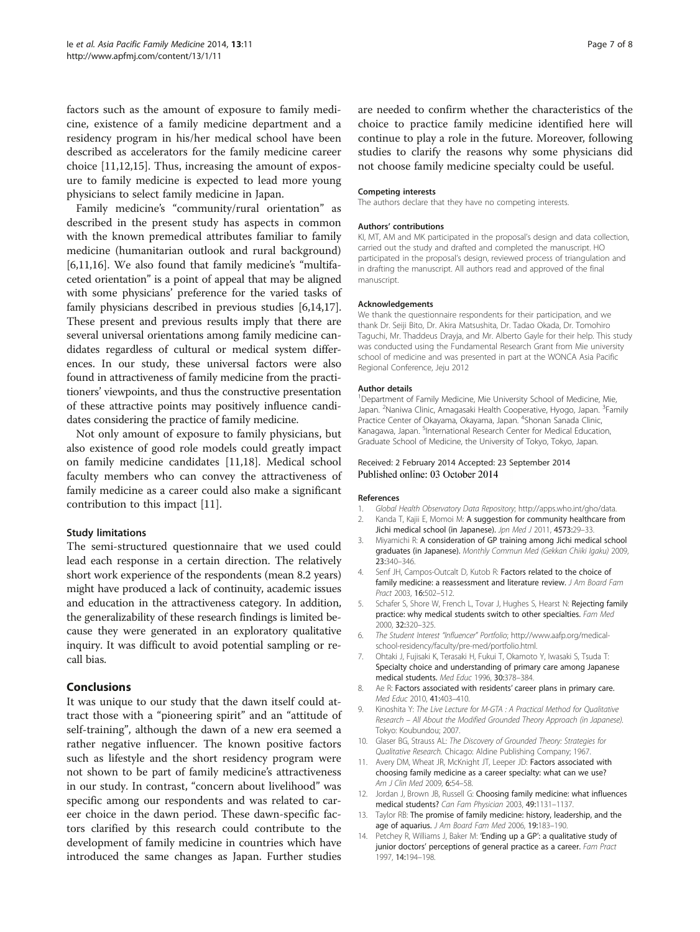<span id="page-6-0"></span>factors such as the amount of exposure to family medicine, existence of a family medicine department and a residency program in his/her medical school have been described as accelerators for the family medicine career choice [11,12[,15\]](#page-7-0). Thus, increasing the amount of exposure to family medicine is expected to lead more young physicians to select family medicine in Japan.

Family medicine's "community/rural orientation" as described in the present study has aspects in common with the known premedical attributes familiar to family medicine (humanitarian outlook and rural background) [6,11[,16\]](#page-7-0). We also found that family medicine's "multifaceted orientation" is a point of appeal that may be aligned with some physicians' preference for the varied tasks of family physicians described in previous studies [6,14,[17](#page-7-0)]. These present and previous results imply that there are several universal orientations among family medicine candidates regardless of cultural or medical system differences. In our study, these universal factors were also found in attractiveness of family medicine from the practitioners' viewpoints, and thus the constructive presentation of these attractive points may positively influence candidates considering the practice of family medicine.

Not only amount of exposure to family physicians, but also existence of good role models could greatly impact on family medicine candidates [11,[18\]](#page-7-0). Medical school faculty members who can convey the attractiveness of family medicine as a career could also make a significant contribution to this impact [11].

#### Study limitations

The semi-structured questionnaire that we used could lead each response in a certain direction. The relatively short work experience of the respondents (mean 8.2 years) might have produced a lack of continuity, academic issues and education in the attractiveness category. In addition, the generalizability of these research findings is limited because they were generated in an exploratory qualitative inquiry. It was difficult to avoid potential sampling or recall bias.

# Conclusions

It was unique to our study that the dawn itself could attract those with a "pioneering spirit" and an "attitude of self-training", although the dawn of a new era seemed a rather negative influencer. The known positive factors such as lifestyle and the short residency program were not shown to be part of family medicine's attractiveness in our study. In contrast, "concern about livelihood" was specific among our respondents and was related to career choice in the dawn period. These dawn-specific factors clarified by this research could contribute to the development of family medicine in countries which have introduced the same changes as Japan. Further studies

are needed to confirm whether the characteristics of the choice to practice family medicine identified here will continue to play a role in the future. Moreover, following studies to clarify the reasons why some physicians did not choose family medicine specialty could be useful.

#### Competing interests

The authors declare that they have no competing interests.

#### Authors' contributions

KI, MT, AM and MK participated in the proposal's design and data collection, carried out the study and drafted and completed the manuscript. HO participated in the proposal's design, reviewed process of triangulation and in drafting the manuscript. All authors read and approved of the final manuscript.

#### Acknowledgements

We thank the questionnaire respondents for their participation, and we thank Dr. Seiji Bito, Dr. Akira Matsushita, Dr. Tadao Okada, Dr. Tomohiro Taguchi, Mr. Thaddeus Drayja, and Mr. Alberto Gayle for their help. This study was conducted using the Fundamental Research Grant from Mie university school of medicine and was presented in part at the WONCA Asia Pacific Regional Conference, Jeju 2012

#### Author details

<sup>1</sup>Department of Family Medicine, Mie University School of Medicine, Mie, Japan. <sup>2</sup>Naniwa Clinic, Amagasaki Health Cooperative, Hyogo, Japan. <sup>3</sup>Family Practice Center of Okayama, Okayama, Japan. <sup>4</sup>Shonan Sanada Clinic Kanagawa, Japan. <sup>5</sup>International Research Center for Medical Education Graduate School of Medicine, the University of Tokyo, Tokyo, Japan.

#### Received: 2 February 2014 Accepted: 23 September 2014 Published online: 03 October 2014

#### References

- Global Health Observatory Data Repository; [http://apps.who.int/gho/data.](http://apps.who.int/gho/data)
- Kanda T, Kajii E, Momoi M: A suggestion for community healthcare from Jichi medical school (in Japanese). Jpn Med J 2011, 4573:29-33.
- 3. Miyamichi R: A consideration of GP training among Jichi medical school graduates (in Japanese). Monthly Commun Med (Gekkan Chiiki Igaku) 2009, 23:340–346.
- 4. Senf JH, Campos-Outcalt D, Kutob R: Factors related to the choice of family medicine: a reassessment and literature review. J Am Board Fam Pract 2003, 16:502–512.
- 5. Schafer S, Shore W, French L, Tovar J, Hughes S, Hearst N: Rejecting family practice: why medical students switch to other specialties. Fam Med 2000, 32:320–325.
- 6. The Student Interest "Influencer" Portfolio; [http://www.aafp.org/medical](http://www.aafp.org/medical-school-residency/faculty/pre-med/portfolio.html)[school-residency/faculty/pre-med/portfolio.html](http://www.aafp.org/medical-school-residency/faculty/pre-med/portfolio.html).
- 7. Ohtaki J, Fujisaki K, Terasaki H, Fukui T, Okamoto Y, Iwasaki S, Tsuda T: Specialty choice and understanding of primary care among Japanese medical students. Med Educ 1996, 30:378–384.
- 8. Ae R: Factors associated with residents' career plans in primary care. Med Educ 2010, 41:403–410.
- 9. Kinoshita Y: The Live Lecture for M-GTA : A Practical Method for Qualitative Research – All About the Modified Grounded Theory Approach (in Japanese). Tokyo: Koubundou; 2007.
- 10. Glaser BG, Strauss AL: The Discovery of Grounded Theory: Strategies for Qualitative Research. Chicago: Aldine Publishing Company; 1967.
- 11. Avery DM, Wheat JR, McKnight JT, Leeper JD: Factors associated with choosing family medicine as a career specialty: what can we use? Am J Clin Med 2009, 6:54-58.
- 12. Jordan J, Brown JB, Russell G: Choosing family medicine: what influences medical students? Can Fam Physician 2003, 49:1131–1137.
- 13. Taylor RB: The promise of family medicine: history, leadership, and the age of aquarius. J Am Board Fam Med 2006, 19:183-190.
- 14. Petchey R, Williams J, Baker M: 'Ending up a GP': a qualitative study of junior doctors' perceptions of general practice as a career. Fam Pract 1997, 14:194–198.